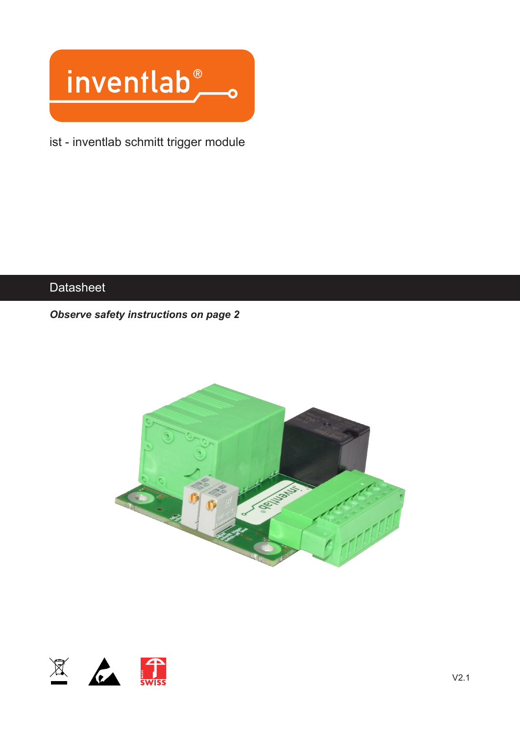

ist - inventlab schmitt trigger module

## **Datasheet**

#### *Observe safety instructions on page 2*



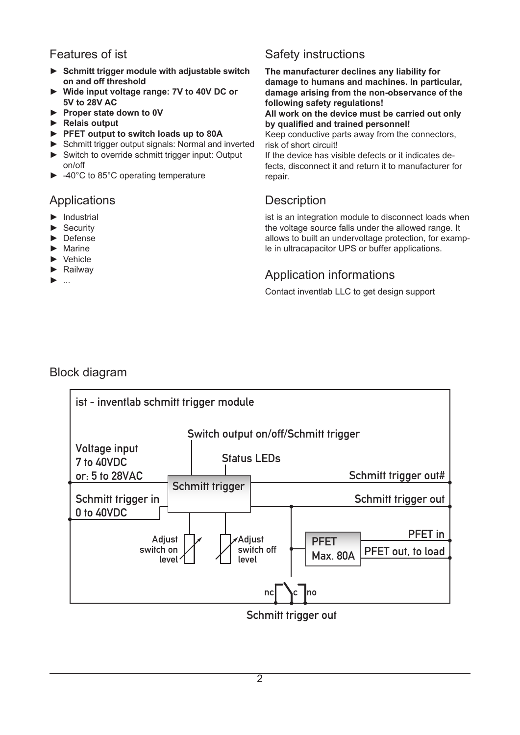## Features of ist

- ► **Schmitt trigger module with adjustable switch on and off threshold**
- ► **Wide input voltage range: 7V to 40V DC or 5V to 28V AC**
- ► **Proper state down to 0V**
- ► **Relais output**
- ► **PFET output to switch loads up to 80A**
- ► Schmitt trigger output signals: Normal and inverted
- ► Switch to override schmitt trigger input: Output on/off
- ► -40°C to 85°C operating temperature

#### Applications

- ► Industrial
- ► Security
- ► Defense
- ► Marine
- ► Vehicle
- ► Railway
- ► ...

# Safety instructions

**The manufacturer declines any liability for damage to humans and machines. In particular, damage arising from the non-observance of the following safety regulations!**

**All work on the device must be carried out only by qualified and trained personnel!**

Keep conductive parts away from the connectors, risk of short circuit!

If the device has visible defects or it indicates defects, disconnect it and return it to manufacturer for repair.

## **Description**

ist is an integration module to disconnect loads when the voltage source falls under the allowed range. It allows to built an undervoltage protection, for example in ultracapacitor UPS or buffer applications.

# Application informations

Contact inventlab LLC to get design support

#### Block diagram



Schmitt trigger out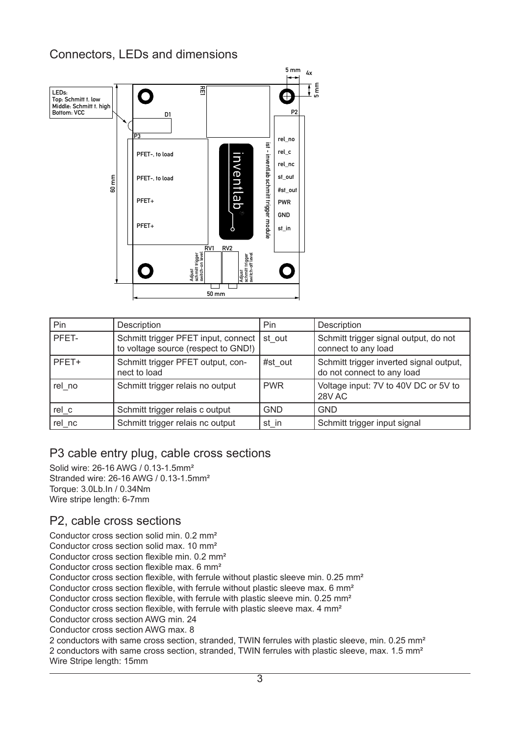## Connectors, LEDs and dimensions



| Pin    | Description                                                                | Pin        | Description                                                           |
|--------|----------------------------------------------------------------------------|------------|-----------------------------------------------------------------------|
| PFET-  | Schmitt trigger PFET input, connect<br>to voltage source (respect to GND!) | st out     | Schmitt trigger signal output, do not<br>connect to any load          |
| PFET+  | Schmitt trigger PFET output, con-<br>nect to load                          | #st out    | Schmitt trigger inverted signal output,<br>do not connect to any load |
| rel no | Schmitt trigger relais no output                                           | <b>PWR</b> | Voltage input: 7V to 40V DC or 5V to<br>28V AC                        |
| rel c  | Schmitt trigger relais c output                                            | <b>GND</b> | <b>GND</b>                                                            |
| rel nc | Schmitt trigger relais nc output                                           | st in      | Schmitt trigger input signal                                          |

#### P3 cable entry plug, cable cross sections

Solid wire: 26-16 AWG / 0.13-1.5mm² Stranded wire: 26-16 AWG / 0.13-1.5mm² Torque: 3.0Lb.In / 0.34Nm Wire stripe length: 6-7mm

#### P2, cable cross sections

Conductor cross section solid min. 0.2 mm² Conductor cross section solid max. 10 mm² Conductor cross section flexible min. 0.2 mm² Conductor cross section flexible max. 6 mm² Conductor cross section flexible, with ferrule without plastic sleeve min. 0.25 mm² Conductor cross section flexible, with ferrule without plastic sleeve max. 6 mm² Conductor cross section flexible, with ferrule with plastic sleeve min. 0.25 mm² Conductor cross section flexible, with ferrule with plastic sleeve max. 4 mm² Conductor cross section AWG min. 24 Conductor cross section AWG max. 8 2 conductors with same cross section, stranded, TWIN ferrules with plastic sleeve, min. 0.25 mm² 2 conductors with same cross section, stranded, TWIN ferrules with plastic sleeve, max. 1.5 mm² Wire Stripe length: 15mm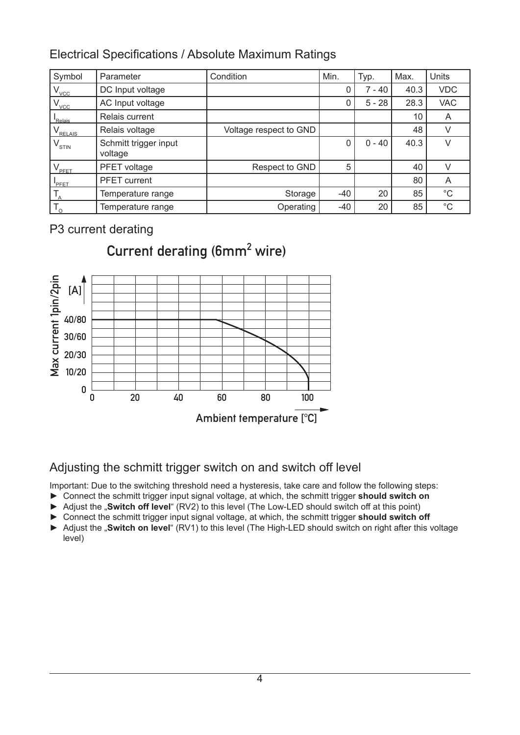## Electrical Specifications / Absolute Maximum Ratings

| Symbol                         | Parameter                        | Condition              | Min.  | Typ.     | Max. | Units       |
|--------------------------------|----------------------------------|------------------------|-------|----------|------|-------------|
| $V_{\text{VCC}}$               | DC Input voltage                 |                        | 0     | 7 - 40   | 40.3 | <b>VDC</b>  |
| $V_{\text{VCC}}$               | AC Input voltage                 |                        | 0     | $5 - 28$ | 28.3 | <b>VAC</b>  |
| Relais                         | Relais current                   |                        |       |          | 10   | A           |
| RELAIS                         | Relais voltage                   | Voltage respect to GND |       |          | 48   | $\vee$      |
| $\mathsf{V}_{_\mathsf{STIN}}$  | Schmitt trigger input<br>voltage |                        | 0     | $0 - 40$ | 40.3 | V           |
| $\sqrt{\rule{0pt}{10pt}}$ PFET | PFET voltage                     | Respect to GND         | 5     |          | 40   | $\vee$      |
| PFET <sup></sup>               | <b>PFET</b> current              |                        |       |          | 80   | A           |
| $T_{\rm A}$                    | Temperature range                | Storage                | $-40$ | 20       | 85   | $^{\circ}C$ |
| $T_{\rm o}$                    | Temperature range                | Operating              | $-40$ | 20       | 85   | $^{\circ}C$ |

## P3 current derating



# Current derating (6mm<sup>2</sup> wire)

## Adjusting the schmitt trigger switch on and switch off level

Important: Due to the switching threshold need a hysteresis, take care and follow the following steps:

- ► Connect the schmitt trigger input signal voltage, at which, the schmitt trigger **should switch on**
- ► Adjust the "**Switch off level**" (RV2) to this level (The Low-LED should switch off at this point)
- ► Connect the schmitt trigger input signal voltage, at which, the schmitt trigger **should switch off**
- ► Adjust the "**Switch on level**" (RV1) to this level (The High-LED should switch on right after this voltage level)